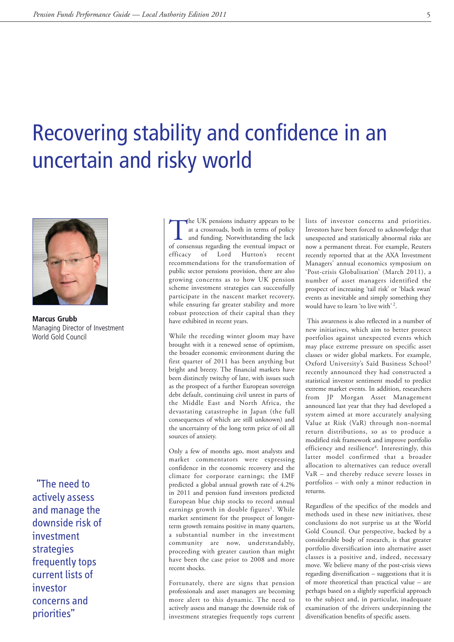## Recovering stability and confidence in an uncertain and risky world



**Marcus Grubb** Managing Director of Investment World Gold Council

"The need to actively assess and manage the downside risk of investment strategies frequently tops current lists of investor concerns and priorities"

The UK pensions industry appears to be<br>at a crossroads, both in terms of policy<br>and funding. Notwithstanding the lack<br>of consensus regarding the eventual impact or at a crossroads, both in terms of policy of consensus regarding the eventual impact or efficacy of Lord Hutton's recent recommendations for the transformation of public sector pensions provision, there are also growing concerns as to how UK pension scheme investment strategies can successfully participate in the nascent market recovery, while ensuring far greater stability and more robust protection of their capital than they have exhibited in recent years.

While the receding winter gloom may have brought with it a renewed sense of optimism, the broader economic environment during the first quarter of 2011 has been anything but bright and breezy. The financial markets have been distinctly twitchy of late, with issues such as the prospect of a further European sovereign debt default, continuing civil unrest in parts of the Middle East and North Africa, the devastating catastrophe in Japan (the full consequences of which are still unknown) and the uncertainty of the long term price of oil all sources of anxiety.

Only a few of months ago, most analysts and market commentators were expressing confidence in the economic recovery and the climate for corporate earnings; the IMF predicted a global annual growth rate of 4.2% in 2011 and pension fund investors predicted European blue chip stocks to record annual earnings growth in double figures<sup>1</sup>. While market sentiment for the prospect of longerterm growth remains positive in many quarters, a substantial number in the investment community are now, understandably, proceeding with greater caution than might have been the case prior to 2008 and more recent shocks.

Fortunately, there are signs that pension professionals and asset managers are becoming more alert to this dynamic. The need to actively assess and manage the downside risk of investment strategies frequently tops current lists of investor concerns and priorities. Investors have been forced to acknowledge that unexpected and statistically abnormal risks are now a permanent threat. For example, Reuters recently reported that at the AXA Investment Managers' annual economics symposium on 'Post-crisis Globalisation' (March 2011), a number of asset managers identified the prospect of increasing 'tail risk' or 'black swan' events as inevitable and simply something they would have to learn 'to live with' 2.

This awareness is also reflected in a number of new initiatives, which aim to better protect portfolios against unexpected events which may place extreme pressure on specific asset classes or wider global markets. For example, Oxford University's Saïd Business School3 recently announced they had constructed a statistical investor sentiment model to predict extreme market events. In addition, researchers from JP Morgan Asset Management announced last year that they had developed a system aimed at more accurately analysing Value at Risk (VaR) through non-normal return distributions, so as to produce a modified risk framework and improve portfolio efficiency and resilience<sup>4</sup>. Interestingly, this latter model confirmed that a broader allocation to alternatives can reduce overall VaR – and thereby reduce severe losses in portfolios – with only a minor reduction in returns.

Regardless of the specifics of the models and methods used in these new initiatives, these conclusions do not surprise us at the World Gold Council. Our perspective, backed by a considerable body of research, is that greater portfolio diversification into alternative asset classes is a positive and, indeed, necessary move. We believe many of the post-crisis views regarding diversification – suggestions that it is of more theoretical than practical value – are perhaps based on a slightly superficial approach to the subject and, in particular, inadequate examination of the drivers underpinning the diversification benefits of specific assets.